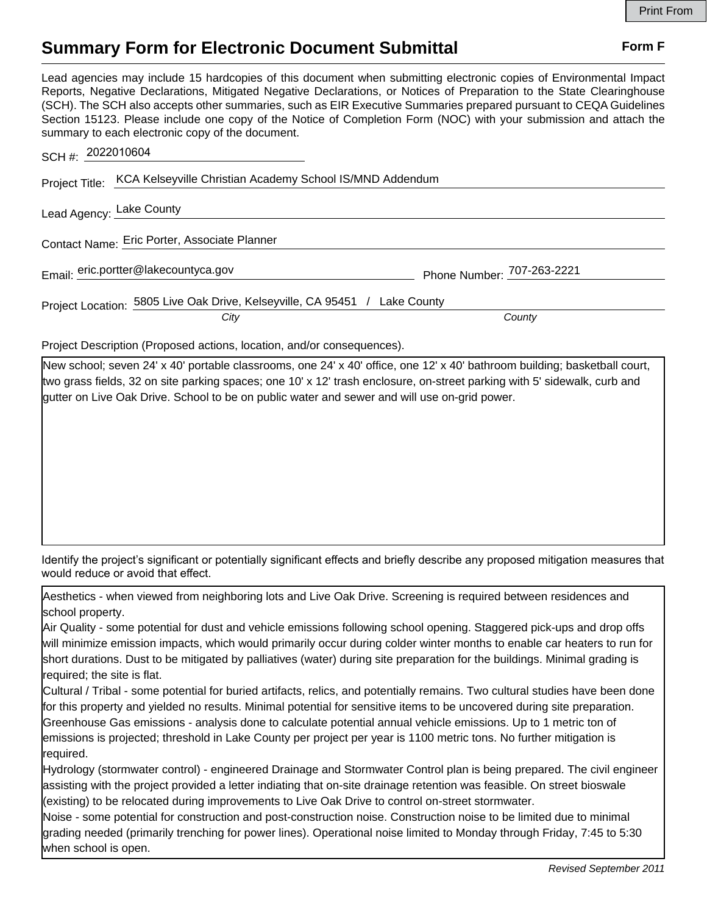## **Summary Form for Electronic Document Submittal Form F Form F**

Lead agencies may include 15 hardcopies of this document when submitting electronic copies of Environmental Impact Reports, Negative Declarations, Mitigated Negative Declarations, or Notices of Preparation to the State Clearinghouse (SCH). The SCH also accepts other summaries, such as EIR Executive Summaries prepared pursuant to CEQA Guidelines Section 15123. Please include one copy of the Notice of Completion Form (NOC) with your submission and attach the summary to each electronic copy of the document.

| SCH #: 2022010604                                                       |                                                                            |                            |  |
|-------------------------------------------------------------------------|----------------------------------------------------------------------------|----------------------------|--|
| Project Title: KCA Kelseyville Christian Academy School IS/MND Addendum |                                                                            |                            |  |
| Lead Agency: Lake County                                                |                                                                            |                            |  |
| Contact Name: Eric Porter, Associate Planner                            |                                                                            |                            |  |
| Email: eric.portter@lakecountyca.gov                                    |                                                                            | Phone Number: 707-263-2221 |  |
|                                                                         | Project Location: 5805 Live Oak Drive, Kelseyville, CA 95451 / Lake County |                            |  |
|                                                                         | City                                                                       | County                     |  |

Project Description (Proposed actions, location, and/or consequences).

New school; seven 24' x 40' portable classrooms, one 24' x 40' office, one 12' x 40' bathroom building; basketball court, two grass fields, 32 on site parking spaces; one 10' x 12' trash enclosure, on-street parking with 5' sidewalk, curb and gutter on Live Oak Drive. School to be on public water and sewer and will use on-grid power.

Identify the project's significant or potentially significant effects and briefly describe any proposed mitigation measures that would reduce or avoid that effect.

Aesthetics - when viewed from neighboring lots and Live Oak Drive. Screening is required between residences and school property.

Air Quality - some potential for dust and vehicle emissions following school opening. Staggered pick-ups and drop offs will minimize emission impacts, which would primarily occur during colder winter months to enable car heaters to run for short durations. Dust to be mitigated by palliatives (water) during site preparation for the buildings. Minimal grading is required; the site is flat.

Cultural / Tribal - some potential for buried artifacts, relics, and potentially remains. Two cultural studies have been done for this property and yielded no results. Minimal potential for sensitive items to be uncovered during site preparation. Greenhouse Gas emissions - analysis done to calculate potential annual vehicle emissions. Up to 1 metric ton of emissions is projected; threshold in Lake County per project per year is 1100 metric tons. No further mitigation is required.

Hydrology (stormwater control) - engineered Drainage and Stormwater Control plan is being prepared. The civil engineer assisting with the project provided a letter indiating that on-site drainage retention was feasible. On street bioswale (existing) to be relocated during improvements to Live Oak Drive to control on-street stormwater.

Noise - some potential for construction and post-construction noise. Construction noise to be limited due to minimal grading needed (primarily trenching for power lines). Operational noise limited to Monday through Friday, 7:45 to 5:30 when school is open.